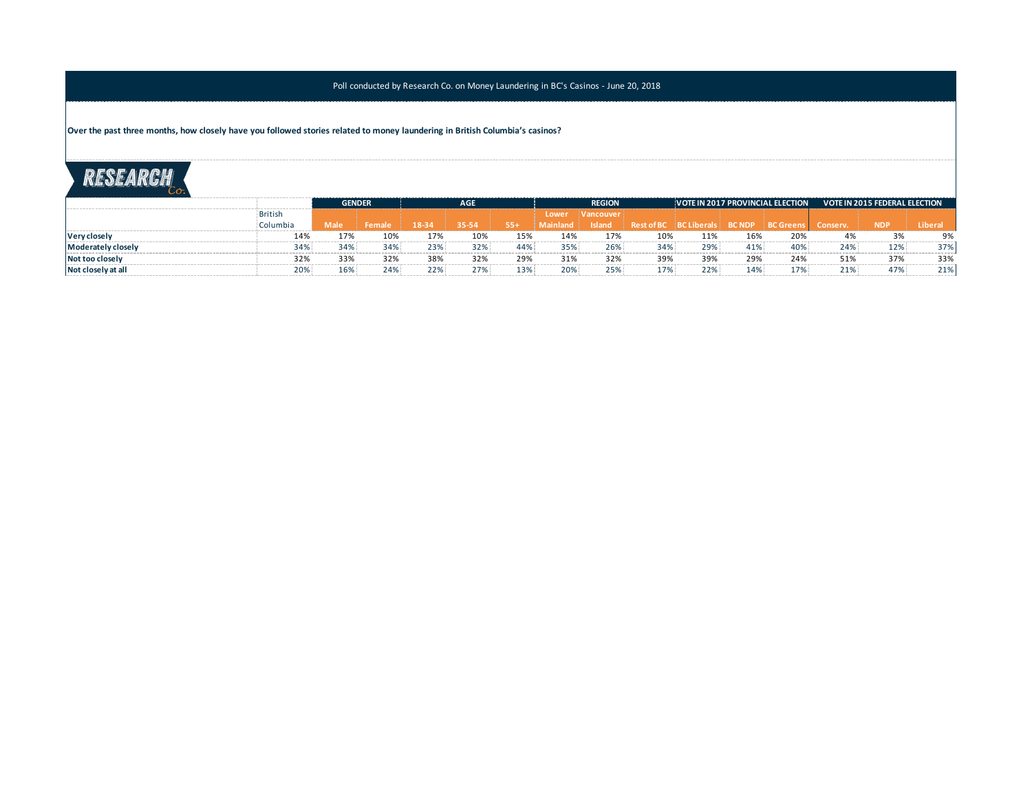**Over the past three months, how closely have you followed stories related to money laundering in British Columbia's casinos?**

|                     |                |             | <b>GENDER</b> |       | <b>AGE</b> |       | <b>REGION</b>   |                    |                                           | VOTE IN 2017 PROVINCIAL ELECTION |     |     | <b>VOTE IN 2015 FEDERAL ELECTION</b> |            |        |
|---------------------|----------------|-------------|---------------|-------|------------|-------|-----------------|--------------------|-------------------------------------------|----------------------------------|-----|-----|--------------------------------------|------------|--------|
|                     | <b>British</b> |             |               |       |            |       | Lower           | <i>i</i> Vancouver |                                           |                                  |     |     |                                      |            |        |
|                     | Columbia       | <b>Male</b> | Female        | 18-34 | 35-54      | $55+$ | <b>Mainland</b> | <b>Asland</b>      | Rest of BC REC Liberals BC NDP REC Greens |                                  |     |     | Conserv.                             | <b>NDP</b> | Libera |
| <b>Very closely</b> | 14%            | 17%         | 10%           | 17%   |            | 15%   | 14%             | 17%                | 10%                                       | 11%                              | 16% | 20% | 4%                                   |            | 9%     |
| Moderately closely  | 34%            | 34%         | 34%           | 23%   | 32%        | 44%   | 35%             | 26%                | 34%                                       | 29%                              | 41% | 40% | 24%                                  | 12%        | 37%    |
| Not too closely     | 32%            | 33%         | 32%           | 38%   | 32%        | 29%   | 31%             | 32%                | 39%                                       | 39%                              | 29% | 24% | 51%                                  | 37%        | 33%    |
| Not closely at all  | 20%            | 16%         | 24%           | 22%   | 27%        | 13%   | 20%             | 25%                | 17%                                       | 22%                              | 14% | 17% | 21%                                  | 47%        | 21%    |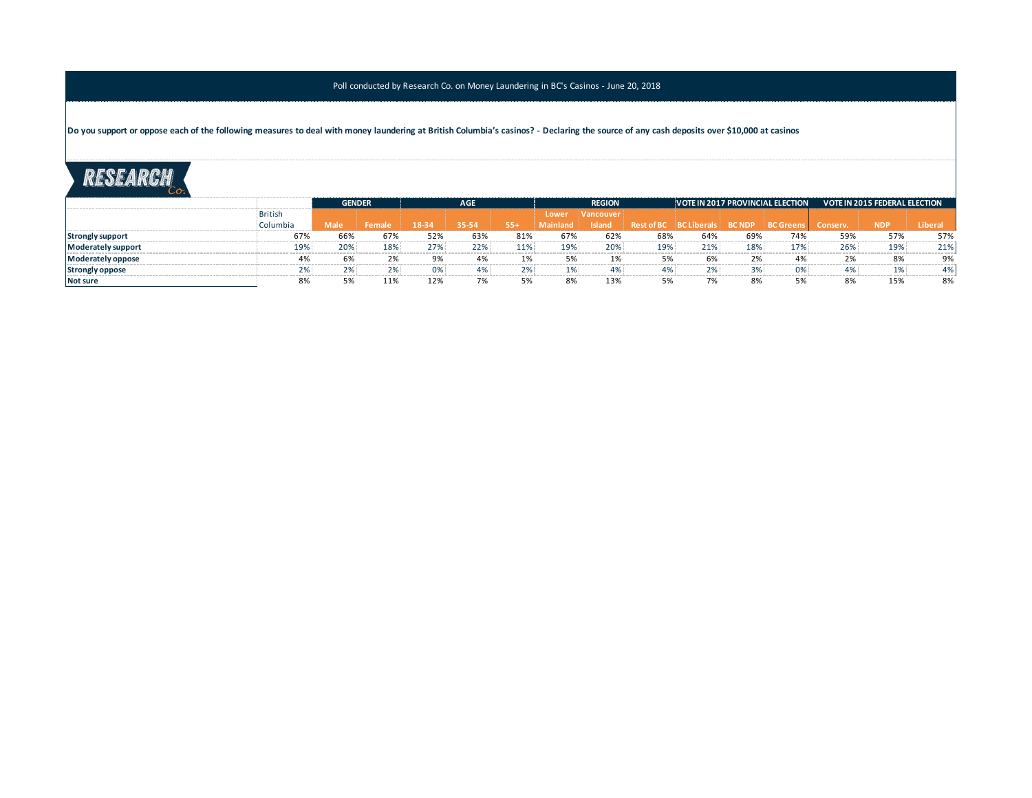**Do you support or oppose each of the following measures to deal with money laundering at British Columbia's casinos? - Declaring the source of any cash deposits over \$10,000 at casinos**

|                         |                |      | <b>GENDER</b> | <b>AGE</b> |       |       | <b>REGION</b> |                         |                |                                   |     | VOTE IN 2017 PROVINCIAL ELECTION | <b>VOTE IN 2015 FEDERAL ELECTION</b> |            |       |
|-------------------------|----------------|------|---------------|------------|-------|-------|---------------|-------------------------|----------------|-----------------------------------|-----|----------------------------------|--------------------------------------|------------|-------|
|                         | <b>British</b> |      |               |            |       |       | Lower         | <i><b>Nancouver</b></i> |                |                                   |     |                                  |                                      |            |       |
|                         | Columbia       | Male | Female        | 18-34      | 35-54 | $55+$ | Mainland      | <b>Island</b>           |                | Rest of BC   BC Liberals   BC NDP |     | <b>BC</b> Greens                 | Conserv.                             | <b>NDP</b> | Liber |
| <b>Strongly support</b> | 67%            | 66%  | 67%           | 52%        | 63%   | 81%   | 67%           | 62%                     | 68%            | 64%                               | 69% | 74%                              | 59%                                  | 57%        | 57%   |
| Moderately support      | 19%            | 20%  | 18%           | 27%        | 22%   | 11%   | 19%           | 20%                     | 19%            | 21%                               | 18% | 17%                              | 26%                                  | 19%        | 21%   |
| Moderately oppose       |                | 6%   | 7%            |            | 4%    |       | 5%            | 1%                      | E <sub>0</sub> | 6%                                | ን%  | 4%                               | 2%                                   | 8%         | 9%    |
| <b>Strongly oppose</b>  | ∠ 7∩           |      | 70/<br>‰′     | 0%         | 4%    | 7%    | 1%            | 4%                      | 4%             | 2%                                | 3%  | 0%                               | 4%                                   | 1%         |       |
| Not sure                |                |      | 11%           | 12%        |       |       |               | 13%                     |                | 7%                                | 8%  |                                  | 8%                                   | 15%        | 8%    |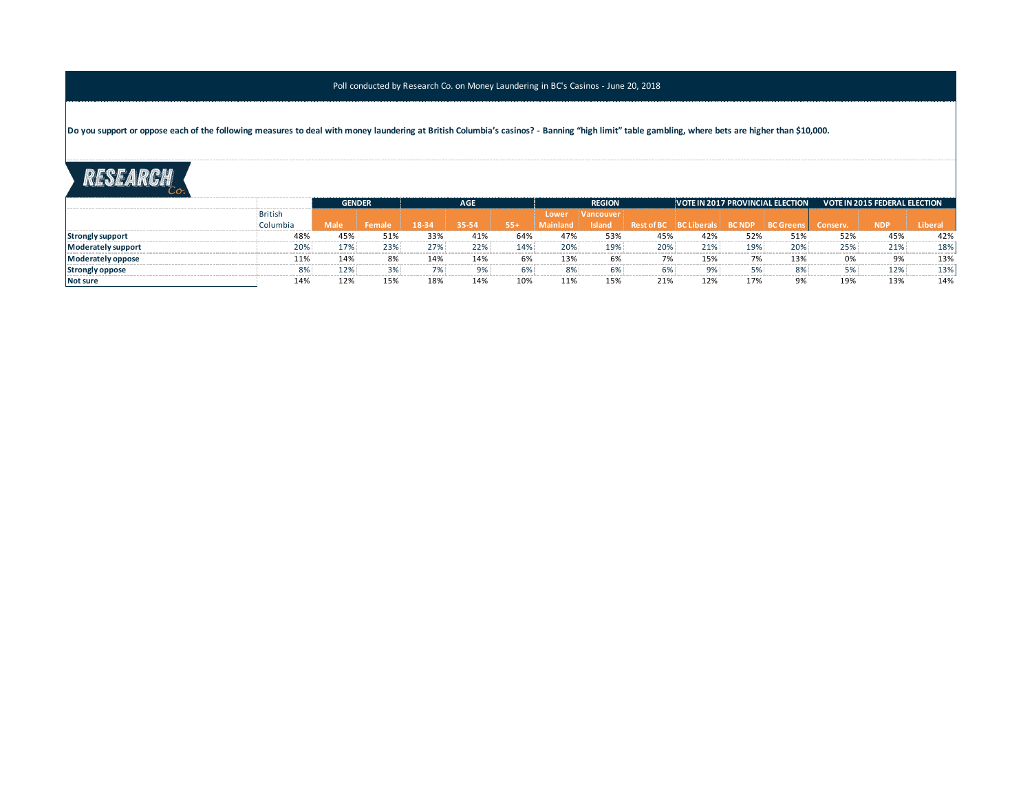Do you support or oppose each of the following measures to deal with money laundering at British Columbia's casinos? - Banning "high limit" table gambling, where bets are higher than \$10,000.

|                         |                |             | <b>GENDER</b> |       | <b>AGE</b> |       |          | <b>REGION</b>           |                               |       |     | VOTE IN 2017 PROVINCIAL ELECTION | <b>VOTE IN 2015 FEDERAL ELECTION</b> |            |        |
|-------------------------|----------------|-------------|---------------|-------|------------|-------|----------|-------------------------|-------------------------------|-------|-----|----------------------------------|--------------------------------------|------------|--------|
|                         | <b>British</b> |             |               |       |            |       | Lower    | <i><b>Nancouver</b></i> |                               |       |     |                                  |                                      |            |        |
|                         | Columbia       | <b>Male</b> | Female        | 18-34 |            | $55+$ | Mainland | <b>Island</b>           | Rest of BC BC Liberals BC NDP |       |     | BC Greens                        | Conserv.                             | <b>NDP</b> | Libera |
| <b>Strongly support</b> | 48%            | 45%         | 51%           | 33%   | 41%        | 64%   | 47%      | 53%                     | 45%                           | 42%   | 52% | 51%                              | 52%                                  | 45%        | 42%    |
| Moderately support      | 20%            | 17%         | 23%           | 27%   | 22%        | 14%   | 20%      | 19%                     | 20%                           | 21%   | 19% | 20%                              | 25%                                  | 21%        | 18%    |
| Moderately oppose       | 11%            | 14%         | 8%            | 14%   | 14%        | 6%    | 13%      | 6%                      | 7%                            | 15%   | 7%  | 13%                              | 0%                                   | 9%         | 13%    |
| <b>Strongly oppose</b>  | 8%             | 12%         | 3%            | 7%    |            | 6%    | 8%       | 6%                      | 6%                            | $9\%$ | 5%  | 8%                               | 5%                                   | 12%        | 13%    |
| Not sure                |                | 12%         | 15%           | 18%   | 14%        | 10%   | 11%      | 15%                     | 21%                           | 12%   | 17% |                                  | 19%                                  | 13%        | 14%    |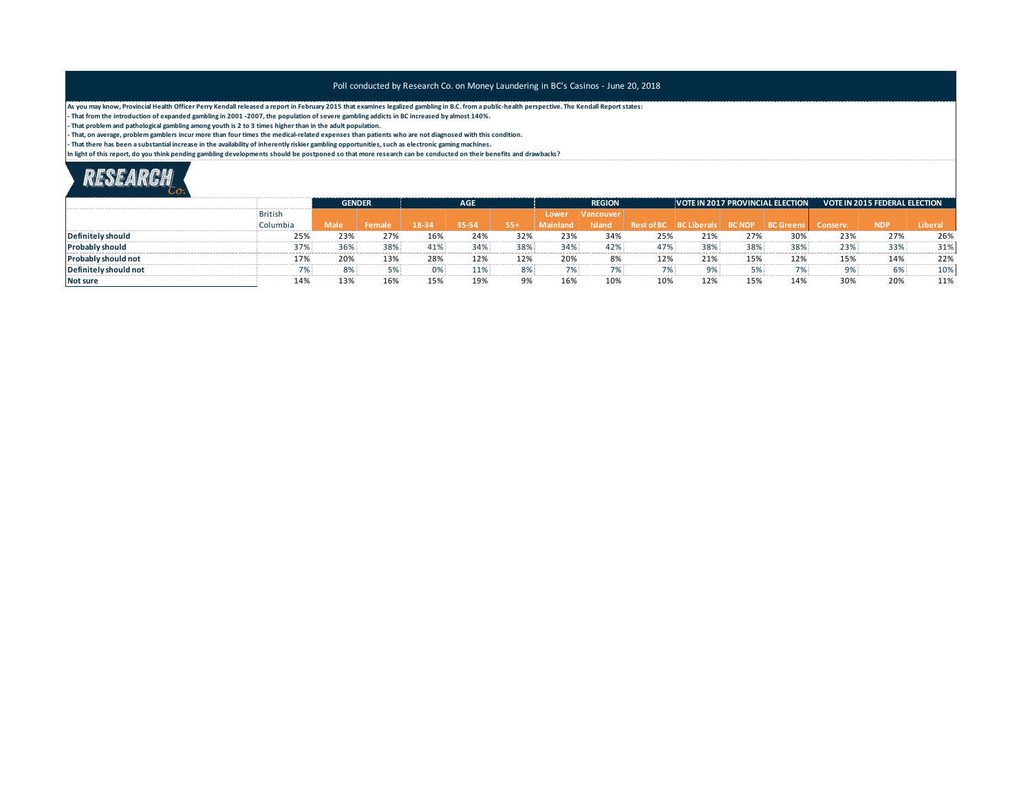**As you may know, Provincial Health Officer Perry Kendall released a report in February 2015 that examines legalized gambling in B.C. from a public-health perspective. The Kendall Report states:**

**- That from the introduction of expanded gambling in 2001 -2007, the population of severe gambling addicts in BC increased by almost 140%.**

**- That problem and pathological gambling among youth is 2 to 3 times higher than in the adult population.**

**- That, on average, problem gamblers incur more than four times the medical-related expenses than patients who are not diagnosed with this condition.** 

**- That there has been a substantial increase in the availability of inherently riskier gambling opportunities, such as electronic gaming machines.**

**In light of this report, do you think pending gambling developments should be postponed so that more research can be conducted on their benefits and drawbacks?**

|                            |                |      | <b>GENDER</b> | <b>AGE</b> |       |       | <b>REGION</b> |                         |                   |                                  |     | VOTE IN 2017 PROVINCIAL ELECTION | <b>VOTE IN 2015 FEDERAL ELECTION</b> |            |         |
|----------------------------|----------------|------|---------------|------------|-------|-------|---------------|-------------------------|-------------------|----------------------------------|-----|----------------------------------|--------------------------------------|------------|---------|
|                            | <b>British</b> |      |               |            |       |       | Lower         | <i><b>Nancouver</b></i> |                   |                                  |     |                                  |                                      |            |         |
|                            | Columbia       | Male | Female        | $18-34$    | 35-54 | $55+$ | aland.        | <b>Island</b>           | <b>Rest of BC</b> | BC Liberals   BC NDP   BC Greens |     |                                  | Conserv.                             | <b>NDR</b> | Liberal |
| Definitely should          | 25%            | 23%  | 27%           | 16%        | 24%   | 32%   | 23%           | 34%                     | 25%               | 21%                              | 27% | 30%                              | 23%                                  | 27%        | 26%     |
| <b>Probably should</b>     | 37%            | 36%  | 38%           | 41%        | 34%   | 38%   | 34%           | 42%                     | 47%               | 38%                              | 38% | 38%                              | 23%                                  | 33%        | 31%     |
| <b>Probably should not</b> | 17%            | 20%  | 13%           | 28%        | 12%   | 12%   | 20%           | 8%                      | 12%               | 21%                              | 15% | 12%                              | 15%                                  | 14%        | 22%     |
| Definitely should not      |                | 8%   |               | 0%         | 11%   | 8%    | 7%            | 7%                      | 7%                | 9%                               | 5%  | 7%                               | 9%                                   | 6%         | 10%     |
| Not sure                   | 14%            | 139  | 16%           | 15%        | 19%   | 9%    | 16%           | 10%                     | 10%               | 12%                              | 15% | 14%                              | 30%                                  | 20%        | 11%     |